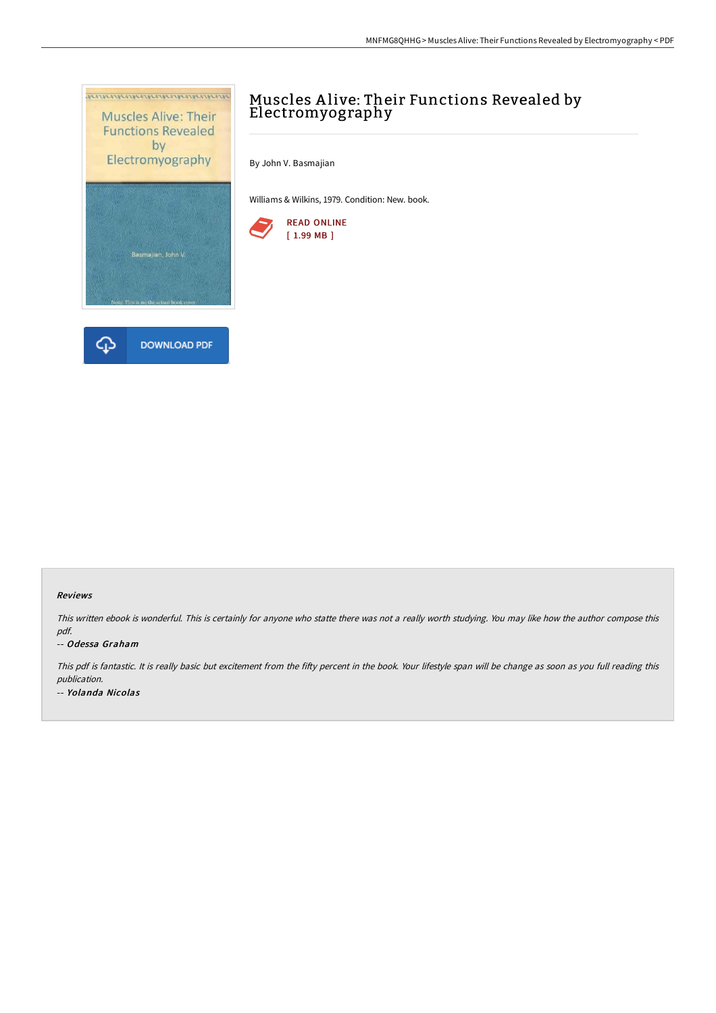



# Muscles A live: Their Functions Revealed by Electromyography

By John V. Basmajian

Williams & Wilkins, 1979. Condition: New. book.



#### Reviews

This written ebook is wonderful. This is certainly for anyone who statte there was not <sup>a</sup> really worth studying. You may like how the author compose this pdf.

#### -- Odessa Graham

This pdf is fantastic. It is really basic but excitement from the fifty percent in the book. Your lifestyle span will be change as soon as you full reading this publication. -- Yolanda Nicolas